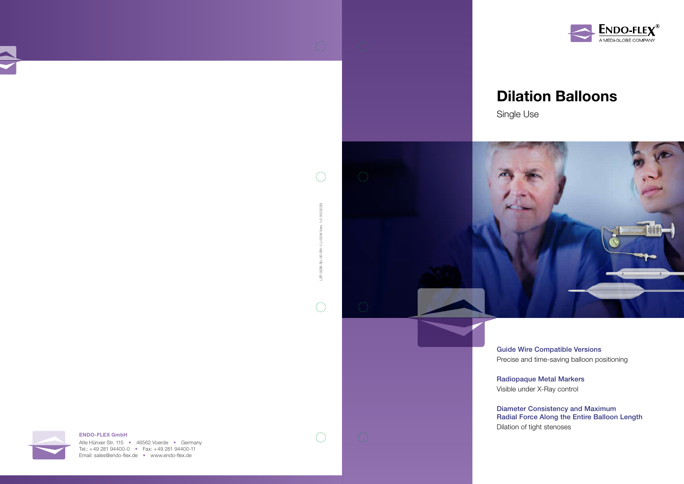



Radiopaque Metal Markers Visible under X-Ray control

Alte Hünxer Str. 115 • 46562 Voerde • Germany Tel.: +49 281 94400-0 • Fax: +49 281 94400-11 Email: sales@endo-flex.de • www.endo-flex.de

 $\bigcirc$ 

Diameter Consistency and Maximum Radial Force Along the Entire Balloon Length Dilation of tight stenoses



#### ENDO-FLEX GmbH

LEF-GDB-SU-00-EN / LL-0334 Vers. 1.0 (10/2020)

e.  $\overline{\partial}$ aDB-茑

 $\bigcap$ 

EN / LL-0334

10/2020)  $1.0($ 

 $\bigcirc$